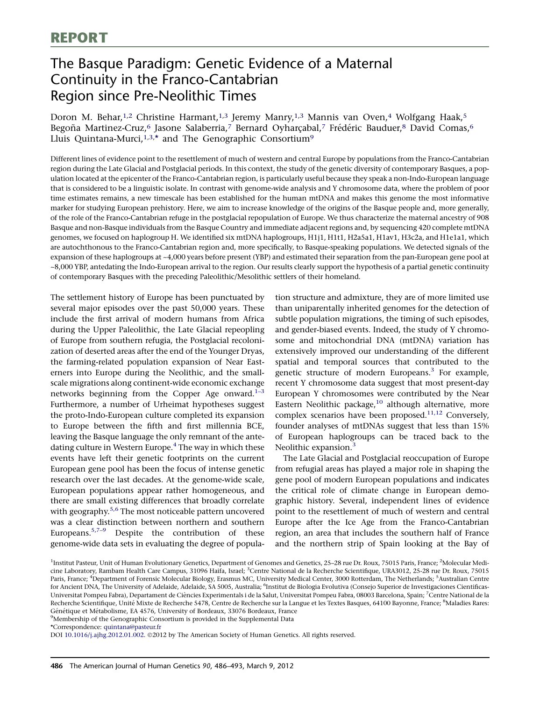# The Basque Paradigm: Genetic Evidence of a Maternal Continuity in the Franco-Cantabrian Region since Pre-Neolithic Times

Doron M. Behar,<sup>1,2</sup> Christine Harmant,<sup>1,3</sup> Jeremy Manry,<sup>1,3</sup> Mannis van Oven,<sup>4</sup> Wolfgang Haak,<sup>5</sup> Begoña Martinez-Cruz,<sup>6</sup> Jasone Salaberria,<sup>7</sup> Bernard Oyharçabal,<sup>7</sup> Frédéric Bauduer,<sup>8</sup> David Comas,<sup>6</sup> Lluis Quintana-Murci,<sup>1,3,\*</sup> and The Genographic Consortium<sup>9</sup>

Different lines of evidence point to the resettlement of much of western and central Europe by populations from the Franco-Cantabrian region during the Late Glacial and Postglacial periods. In this context, the study of the genetic diversity of contemporary Basques, a population located at the epicenter of the Franco-Cantabrian region, is particularly useful because they speak a non-Indo-European language that is considered to be a linguistic isolate. In contrast with genome-wide analysis and Y chromosome data, where the problem of poor time estimates remains, a new timescale has been established for the human mtDNA and makes this genome the most informative marker for studying European prehistory. Here, we aim to increase knowledge of the origins of the Basque people and, more generally, of the role of the Franco-Cantabrian refuge in the postglacial repopulation of Europe. We thus characterize the maternal ancestry of 908 Basque and non-Basque individuals from the Basque Country and immediate adjacent regions and, by sequencing 420 complete mtDNA genomes, we focused on haplogroup H. We identified six mtDNA haplogroups, H1j1, H1t1, H2a5a1, H1av1, H3c2a, and H1e1a1, which are autochthonous to the Franco-Cantabrian region and, more specifically, to Basque-speaking populations. We detected signals of the expansion of these haplogroups at ~4,000 years before present (YBP) and estimated their separation from the pan-European gene pool at ~8,000 YBP, antedating the Indo-European arrival to the region. Our results clearly support the hypothesis of a partial genetic continuity of contemporary Basques with the preceding Paleolithic/Mesolithic settlers of their homeland.

The settlement history of Europe has been punctuated by several major episodes over the past 50,000 years. These include the first arrival of modern humans from Africa during the Upper Paleolithic, the Late Glacial repeopling of Europe from southern refugia, the Postglacial recolonization of deserted areas after the end of the Younger Dryas, the farming-related population expansion of Near Easterners into Europe during the Neolithic, and the smallscale migrations along continent-wide economic exchange networks beginning from the Copper Age onward. $1-3$ Furthermore, a number of Urheimat hypotheses suggest the proto-Indo-European culture completed its expansion to Europe between the fifth and first millennia BCE, leaving the Basque language the only remnant of the antedating culture in Western Europe. $4$  The way in which these events have left their genetic footprints on the current European gene pool has been the focus of intense genetic research over the last decades. At the genome-wide scale, European populations appear rather homogeneous, and there are small existing differences that broadly correlate with geography.<sup>[5,6](#page-6-0)</sup> The most noticeable pattern uncovered was a clear distinction between northern and southern Europeans.<sup>[5,7–9](#page-6-0)</sup> Despite the contribution of these genome-wide data sets in evaluating the degree of popula-

tion structure and admixture, they are of more limited use than uniparentally inherited genomes for the detection of subtle population migrations, the timing of such episodes, and gender-biased events. Indeed, the study of Y chromosome and mitochondrial DNA (mtDNA) variation has extensively improved our understanding of the different spatial and temporal sources that contributed to the genetic structure of modern Europeans. $3$  For example, recent Y chromosome data suggest that most present-day European Y chromosomes were contributed by the Near Eastern Neolithic package, $10$  although alternative, more complex scenarios have been proposed.<sup>[11,12](#page-6-0)</sup> Conversely, founder analyses of mtDNAs suggest that less than 15% of European haplogroups can be traced back to the Neolithic expansion.<sup>[3](#page-6-0)</sup>

The Late Glacial and Postglacial reoccupation of Europe from refugial areas has played a major role in shaping the gene pool of modern European populations and indicates the critical role of climate change in European demographic history. Several, independent lines of evidence point to the resettlement of much of western and central Europe after the Ice Age from the Franco-Cantabrian region, an area that includes the southern half of France and the northern strip of Spain looking at the Bay of

\*Correspondence: [quintana@pasteur.fr](mailto:quintana@pasteur.fr)

DOI [10.1016/j.ajhg.2012.01.002.](http://dx.doi.org/10.1016/j.ajhg.2012.01.002) ©2012 by The American Society of Human Genetics. All rights reserved.

<sup>&</sup>lt;sup>1</sup>Institut Pasteur, Unit of Human Evolutionary Genetics, Department of Genomes and Genetics, 25–28 rue Dr. Roux, 75015 Paris, France; <sup>2</sup>Molecular Medicine Laboratory, Rambam Health Care Campus, 31096 Haifa, Israel; <sup>3</sup>Centre National de la Recherche Scientifique, URA3012, 25-28 rue Dr. Roux, 75015 Paris, France; <sup>4</sup>Department of Forensic Molecular Biology, Erasmus MC, University Medical Center, 3000 Rotterdam, The Netherlands; <sup>5</sup>Australian Centre for Ancient DNA, The University of Adelaide, Adelaide, SA 5005, Australia; <sup>6</sup>Institut de Biologia Evolutiva (Consejo Superior de Investigaciones Cientificas-Universitat Pompeu Fabra), Departament de Ciències Experimentals i de la Salut, Universitat Pompeu Fabra, 08003 Barcelona, Spain; <sup>7</sup>Centre National de la Recherche Scientifique, Unité Mixte de Recherche 5478, Centre de Recherche sur la Langue et les Textes Basques, 64100 Bayonne, France; <sup>8</sup>Maladies Rares: Génétique et Métabolisme, EA 4576, University of Bordeaux, 33076 Bordeaux, France

<sup>&</sup>lt;sup>9</sup>Membership of the Genographic Consortium is provided in the Supplemental Data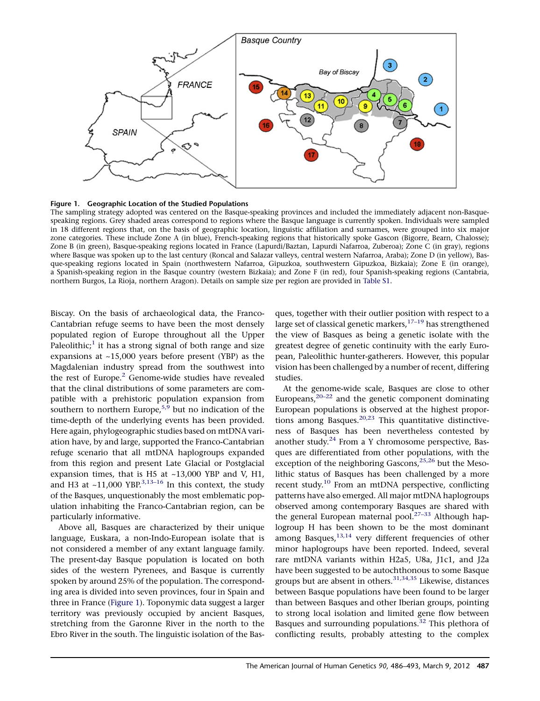<span id="page-1-0"></span>

Figure 1. Geographic Location of the Studied Populations

The sampling strategy adopted was centered on the Basque-speaking provinces and included the immediately adjacent non-Basquespeaking regions. Grey shaded areas correspond to regions where the Basque language is currently spoken. Individuals were sampled in 18 different regions that, on the basis of geographic location, linguistic affiliation and surnames, were grouped into six major zone categories. These include Zone A (in blue), French-speaking regions that historically spoke Gascon (Bigorre, Bearn, Chalosse); Zone B (in green), Basque-speaking regions located in France (Lapurdi/Baztan, Lapurdi Nafarroa, Zuberoa); Zone C (in gray), regions where Basque was spoken up to the last century (Roncal and Salazar valleys, central western Nafarroa, Araba); Zone D (in yellow), Basque-speaking regions located in Spain (northwestern Nafarroa, Gipuzkoa, southwestern Gipuzkoa, Bizkaia); Zone E (in orange), a Spanish-speaking region in the Basque country (western Bizkaia); and Zone F (in red), four Spanish-speaking regions (Cantabria, northern Burgos, La Rioja, northern Aragon). Details on sample size per region are provided in [Table S1.](#page-5-0)

Biscay. On the basis of archaeological data, the Franco-Cantabrian refuge seems to have been the most densely populated region of Europe throughout all the Upper Paleolithic;<sup>[1](#page-6-0)</sup> it has a strong signal of both range and size expansions at ~15,000 years before present (YBP) as the Magdalenian industry spread from the southwest into the rest of Europe.<sup>[2](#page-6-0)</sup> Genome-wide studies have revealed that the clinal distributions of some parameters are compatible with a prehistoric population expansion from southern to northern Europe,  $5,9$  but no indication of the time-depth of the underlying events has been provided. Here again, phylogeographic studies based on mtDNA variation have, by and large, supported the Franco-Cantabrian refuge scenario that all mtDNA haplogroups expanded from this region and present Late Glacial or Postglacial expansion times, that is H5 at  $~13,000$  YBP and V, H1, and H3 at  $\sim$ 11,000 YBP.<sup>[3,13–16](#page-6-0)</sup> In this context, the study of the Basques, unquestionably the most emblematic population inhabiting the Franco-Cantabrian region, can be particularly informative.

Above all, Basques are characterized by their unique language, Euskara, a non-Indo-European isolate that is not considered a member of any extant language family. The present-day Basque population is located on both sides of the western Pyrenees, and Basque is currently spoken by around 25% of the population. The corresponding area is divided into seven provinces, four in Spain and three in France (Figure 1). Toponymic data suggest a larger territory was previously occupied by ancient Basques, stretching from the Garonne River in the north to the Ebro River in the south. The linguistic isolation of the Bas-

ques, together with their outlier position with respect to a large set of classical genetic markers,  $17-19$  has strengthened the view of Basques as being a genetic isolate with the greatest degree of genetic continuity with the early European, Paleolithic hunter-gatherers. However, this popular vision has been challenged by a number of recent, differing studies.

At the genome-wide scale, Basques are close to other Europeans, $20-22$  and the genetic component dominating European populations is observed at the highest propor-tions among Basques.<sup>[20,23](#page-6-0)</sup> This quantitative distinctiveness of Basques has been nevertheless contested by another study.<sup>[24](#page-6-0)</sup> From a Y chromosome perspective, Basques are differentiated from other populations, with the exception of the neighboring Gascons,<sup>[25,26](#page-6-0)</sup> but the Mesolithic status of Basques has been challenged by a more recent study.<sup>[10](#page-6-0)</sup> From an mtDNA perspective, conflicting patterns have also emerged. All major mtDNA haplogroups observed among contemporary Basques are shared with the general European maternal pool.<sup>27-33</sup> Although haplogroup H has been shown to be the most dominant among Basques, $13,14$  very different frequencies of other minor haplogroups have been reported. Indeed, several rare mtDNA variants within H2a5, U8a, J1c1, and J2a have been suggested to be autochthonous to some Basque groups but are absent in others.  $31,34,35$  Likewise, distances between Basque populations have been found to be larger than between Basques and other Iberian groups, pointing to strong local isolation and limited gene flow between Basques and surrounding populations. $32$  This plethora of conflicting results, probably attesting to the complex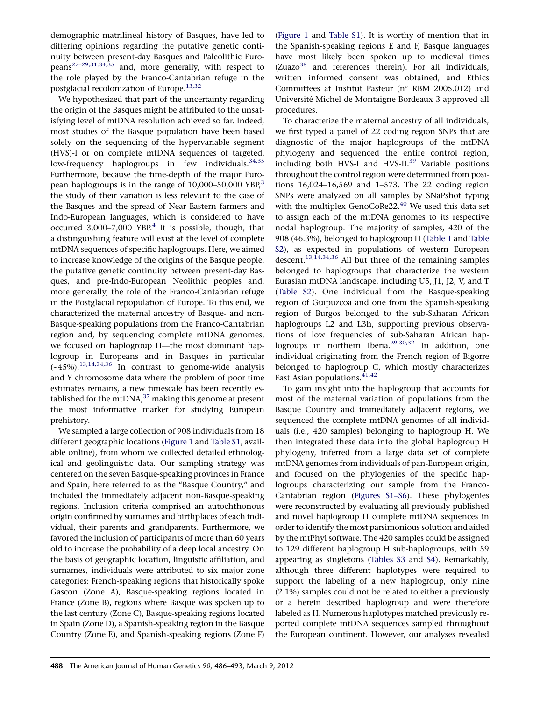demographic matrilineal history of Basques, have led to differing opinions regarding the putative genetic continuity between present-day Basques and Paleolithic Europeans[27–29,31,34,35](#page-6-0) and, more generally, with respect to the role played by the Franco-Cantabrian refuge in the postglacial recolonization of Europe.<sup>[13,32](#page-6-0)</sup>

We hypothesized that part of the uncertainty regarding the origin of the Basques might be attributed to the unsatisfying level of mtDNA resolution achieved so far. Indeed, most studies of the Basque population have been based solely on the sequencing of the hypervariable segment (HVS)-I or on complete mtDNA sequences of targeted, low-frequency haplogroups in few individuals.<sup>[34,35](#page-7-0)</sup> Furthermore, because the time-depth of the major European haplogroups is in the range of  $10,000-50,000$  YBP,<sup>[3](#page-6-0)</sup> the study of their variation is less relevant to the case of the Basques and the spread of Near Eastern farmers and Indo-European languages, which is considered to have occurred 3,000–7,000 YBP.<sup>[4](#page-6-0)</sup> It is possible, though, that a distinguishing feature will exist at the level of complete mtDNA sequences of specific haplogroups. Here, we aimed to increase knowledge of the origins of the Basque people, the putative genetic continuity between present-day Basques, and pre-Indo-European Neolithic peoples and, more generally, the role of the Franco-Cantabrian refuge in the Postglacial repopulation of Europe. To this end, we characterized the maternal ancestry of Basque- and non-Basque-speaking populations from the Franco-Cantabrian region and, by sequencing complete mtDNA genomes, we focused on haplogroup H—the most dominant haplogroup in Europeans and in Basques in particular (~45%).[13,14,34,36](#page-6-0) In contrast to genome-wide analysis and Y chromosome data where the problem of poor time estimates remains, a new timescale has been recently established for the mtDNA, $37$  making this genome at present the most informative marker for studying European prehistory.

We sampled a large collection of 908 individuals from 18 different geographic locations ([Figure 1](#page-1-0) and [Table S1,](#page-5-0) available online), from whom we collected detailed ethnological and geolinguistic data. Our sampling strategy was centered on the seven Basque-speaking provinces in France and Spain, here referred to as the ''Basque Country,'' and included the immediately adjacent non-Basque-speaking regions. Inclusion criteria comprised an autochthonous origin confirmed by surnames and birthplaces of each individual, their parents and grandparents. Furthermore, we favored the inclusion of participants of more than 60 years old to increase the probability of a deep local ancestry. On the basis of geographic location, linguistic affiliation, and surnames, individuals were attributed to six major zone categories: French-speaking regions that historically spoke Gascon (Zone A), Basque-speaking regions located in France (Zone B), regions where Basque was spoken up to the last century (Zone C), Basque-speaking regions located in Spain (Zone D), a Spanish-speaking region in the Basque Country (Zone E), and Spanish-speaking regions (Zone F)

([Figure 1](#page-1-0) and [Table S1\)](#page-5-0). It is worthy of mention that in the Spanish-speaking regions E and F, Basque languages have most likely been spoken up to medieval times  $(Zuazo<sup>38</sup>$  and references therein). For all individuals, written informed consent was obtained, and Ethics Committees at Institut Pasteur ( $n^{\circ}$  RBM 2005.012) and Universite´ Michel de Montaigne Bordeaux 3 approved all procedures.

To characterize the maternal ancestry of all individuals, we first typed a panel of 22 coding region SNPs that are diagnostic of the major haplogroups of the mtDNA phylogeny and sequenced the entire control region, including both HVS-I and HVS-II.<sup>[39](#page-7-0)</sup> Variable positions throughout the control region were determined from positions 16,024–16,569 and 1–573. The 22 coding region SNPs were analyzed on all samples by SNaPshot typing with the multiplex GenoCoRe22. $40$  We used this data set to assign each of the mtDNA genomes to its respective nodal haplogroup. The majority of samples, 420 of the 908 (46.3%), belonged to haplogroup H ([Table 1](#page-3-0) and [Table](#page-5-0) [S2](#page-5-0)), as expected in populations of western European descent.<sup>13,14,34,36</sup> All but three of the remaining samples belonged to haplogroups that characterize the western Eurasian mtDNA landscape, including U5, J1, J2, V, and T ([Table S2](#page-5-0)). One individual from the Basque-speaking region of Guipuzcoa and one from the Spanish-speaking region of Burgos belonged to the sub-Saharan African haplogroups L2 and L3h, supporting previous observations of low frequencies of sub-Saharan African hap-logroups in northern Iberia.<sup>[29,30,32](#page-6-0)</sup> In addition, one individual originating from the French region of Bigorre belonged to haplogroup C, which mostly characterizes East Asian populations.  $41,42$ 

To gain insight into the haplogroup that accounts for most of the maternal variation of populations from the Basque Country and immediately adjacent regions, we sequenced the complete mtDNA genomes of all individuals (i.e., 420 samples) belonging to haplogroup H. We then integrated these data into the global haplogroup H phylogeny, inferred from a large data set of complete mtDNA genomes from individuals of pan-European origin, and focused on the phylogenies of the specific haplogroups characterizing our sample from the Franco-Cantabrian region ([Figures S1–S6\)](#page-5-0). These phylogenies were reconstructed by evaluating all previously published and novel haplogroup H complete mtDNA sequences in order to identify the most parsimonious solution and aided by the mtPhyl software. The 420 samples could be assigned to 129 different haplogroup H sub-haplogroups, with 59 appearing as singletons (Tables S3 and [S4\)](#page-5-0). Remarkably, although three different haplotypes were required to support the labeling of a new haplogroup, only nine (2.1%) samples could not be related to either a previously or a herein described haplogroup and were therefore labeled as H. Numerous haplotypes matched previously reported complete mtDNA sequences sampled throughout the European continent. However, our analyses revealed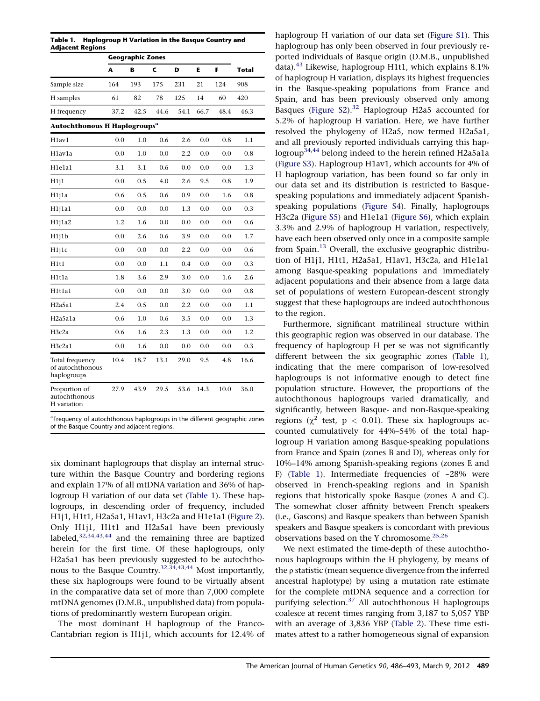<span id="page-3-0"></span>

|                                                    | <b>Geographic Zones</b> |      |      |      |      |      |              |  |
|----------------------------------------------------|-------------------------|------|------|------|------|------|--------------|--|
|                                                    | A                       | в    | C    | D    | E.   | F    | <b>Total</b> |  |
| Sample size                                        | 164                     | 193  | 175  | 231  | 21   | 124  | 908          |  |
| H samples                                          | 61                      | 82   | 78   | 125  | 14   | 60   | 420          |  |
| H frequency                                        | 37.2                    | 42.5 | 44.6 | 54.1 | 66.7 | 48.4 | 46.3         |  |
| <b>Autochthonous H Haplogroups<sup>a</sup></b>     |                         |      |      |      |      |      |              |  |
| H1av1                                              | 0.0                     | 1.0  | 0.6  | 2.6  | 0.0  | 0.8  | 1.1          |  |
| H1av1a                                             | 0.0                     | 1.0  | 0.0  | 2.2  | 0.0  | 0.0  | 0.8          |  |
| H1e1a1                                             | 3.1                     | 3.1  | 0.6  | 0.0  | 0.0  | 0.0  | 1.3          |  |
| H111                                               | 0.0                     | 0.5  | 4.0  | 2.6  | 9.5  | 0.8  | 1.9          |  |
| H1j1a                                              | 0.6                     | 0.5  | 0.6  | 0.9  | 0.0  | 1.6  | 0.8          |  |
| $H1$ j $1a1$                                       | 0.0                     | 0.0  | 0.0  | 1.3  | 0.0  | 0.0  | 0.3          |  |
| $H1$ j $1a2$                                       | 1.2                     | 1.6  | 0.0  | 0.0  | 0.0  | 0.0  | 0.6          |  |
| $H1$ j $1b$                                        | 0.0                     | 2.6  | 0.6  | 3.9  | 0.0  | 0.0  | 1.7          |  |
| H <sub>1</sub> 1c                                  | 0.0                     | 0.0  | 0.0  | 2.2  | 0.0  | 0.0  | 0.6          |  |
| H1t1                                               | 0.0                     | 0.0  | 1.1  | 0.4  | 0.0  | 0.0  | 0.3          |  |
| H1t1a                                              | 1.8                     | 3.6  | 2.9  | 3.0  | 0.0  | 1.6  | 2.6          |  |
| H1t1a1                                             | 0.0                     | 0.0  | 0.0  | 3.0  | 0.0  | 0.0  | 0.8          |  |
| H <sub>2</sub> a5a1                                | 2.4                     | 0.5  | 0.0  | 2.2  | 0.0  | 0.0  | 1.1          |  |
| H <sub>2</sub> a5a1a                               | 0.6                     | 1.0  | 0.6  | 3.5  | 0.0  | 0.0  | 1.3          |  |
| H <sub>3</sub> c <sub>2a</sub>                     | 0.6                     | 1.6  | 2.3  | 1.3  | 0.0  | 0.0  | 1.2          |  |
| H3c2a1                                             | 0.0                     | 1.6  | 0.0  | 0.0  | 0.0  | 0.0  | 0.3          |  |
| Total frequency<br>of autochthonous<br>haplogroups | 10.4                    | 18.7 | 13.1 | 29.0 | 9.5  | 4.8  | 16.6         |  |
| Proportion of<br>autochthonous<br>H variation      | 27.9                    | 43.9 | 29.5 | 53.6 | 14.3 | 10.0 | 36.0         |  |

<sup>a</sup> Frequency of autochthonous haplogroups in the different geographic zones of the Basque Country and adjacent regions.

six dominant haplogroups that display an internal structure within the Basque Country and bordering regions and explain 17% of all mtDNA variation and 36% of haplogroup H variation of our data set (Table 1). These haplogroups, in descending order of frequency, included H1j1, H1t1, H2a5a1, H1av1, H3c2a and H1e1a1 [\(Figure 2\)](#page-4-0). Only H1j1, H1t1 and H2a5a1 have been previously labeled,<sup>[32,34,43,44](#page-7-0)</sup> and the remaining three are baptized herein for the first time. Of these haplogroups, only H2a5a1 has been previously suggested to be autochthonous to the Basque Country.[32,34,43,44](#page-7-0) Most importantly, these six haplogroups were found to be virtually absent in the comparative data set of more than 7,000 complete mtDNA genomes (D.M.B., unpublished data) from populations of predominantly western European origin.

The most dominant H haplogroup of the Franco-Cantabrian region is H1j1, which accounts for 12.4% of haplogroup H variation of our data set ([Figure S1](#page-5-0)). This haplogroup has only been observed in four previously reported individuals of Basque origin (D.M.B., unpublished data). $43$  Likewise, haplogroup H1t1, which explains 8.1% of haplogroup H variation, displays its highest frequencies in the Basque-speaking populations from France and Spain, and has been previously observed only among Basques (Figure  $S2$ ).<sup>[32](#page-7-0)</sup> Haplogroup H2a5 accounted for 5.2% of haplogroup H variation. Here, we have further resolved the phylogeny of H2a5, now termed H2a5a1, and all previously reported individuals carrying this hap-logroup<sup>[34,44](#page-7-0)</sup> belong indeed to the herein refined H2a5a1a ([Figure S3](#page-5-0)). Haplogroup H1av1, which accounts for 4% of H haplogroup variation, has been found so far only in our data set and its distribution is restricted to Basquespeaking populations and immediately adjacent Spanishspeaking populations ([Figure S4](#page-5-0)). Finally, haplogroups H3c2a ([Figure S5\)](#page-5-0) and H1e1a1 [\(Figure S6](#page-5-0)), which explain 3.3% and 2.9% of haplogroup H variation, respectively, have each been observed only once in a composite sample from Spain.<sup>[13](#page-6-0)</sup> Overall, the exclusive geographic distribution of H1j1, H1t1, H2a5a1, H1av1, H3c2a, and H1e1a1 among Basque-speaking populations and immediately adjacent populations and their absence from a large data set of populations of western European-descent strongly suggest that these haplogroups are indeed autochthonous to the region.

Furthermore, significant matrilineal structure within this geographic region was observed in our database. The frequency of haplogroup H per se was not significantly different between the six geographic zones (Table 1), indicating that the mere comparison of low-resolved haplogroups is not informative enough to detect fine population structure. However, the proportions of the autochthonous haplogroups varied dramatically, and significantly, between Basque- and non-Basque-speaking regions ( $\chi^2$  test,  $p < 0.01$ ). These six haplogroups accounted cumulatively for 44%–54% of the total haplogroup H variation among Basque-speaking populations from France and Spain (zones B and D), whereas only for 10%–14% among Spanish-speaking regions (zones E and F) (Table 1). Intermediate frequencies of  $~28\%$  were observed in French-speaking regions and in Spanish regions that historically spoke Basque (zones A and C). The somewhat closer affinity between French speakers (i.e., Gascons) and Basque speakers than between Spanish speakers and Basque speakers is concordant with previous observations based on the Y chromosome.  $^{25,26}$  $^{25,26}$  $^{25,26}$ 

We next estimated the time-depth of these autochthonous haplogroups within the H phylogeny, by means of the  $\rho$  statistic (mean sequence divergence from the inferred ancestral haplotype) by using a mutation rate estimate for the complete mtDNA sequence and a correction for purifying selection.<sup>[37](#page-7-0)</sup> All autochthonous H haplogroups coalesce at recent times ranging from 3,187 to 5,057 YBP with an average of 3,836 YBP [\(Table 2\)](#page-5-0). These time estimates attest to a rather homogeneous signal of expansion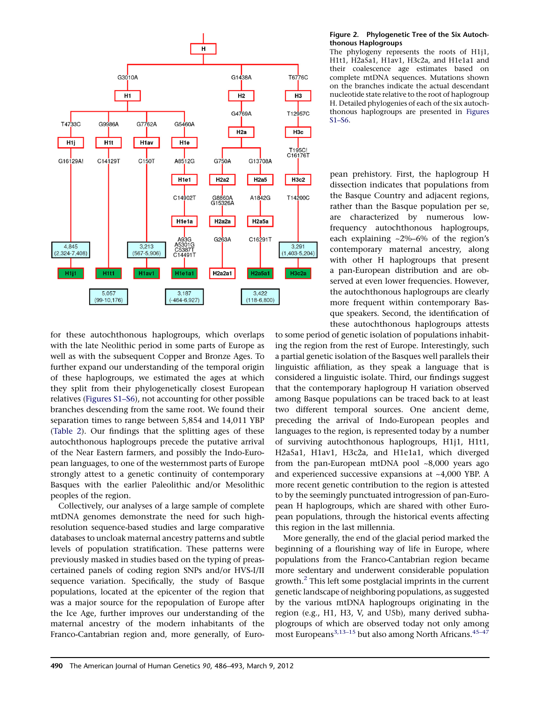<span id="page-4-0"></span>

for these autochthonous haplogroups, which overlaps with the late Neolithic period in some parts of Europe as well as with the subsequent Copper and Bronze Ages. To further expand our understanding of the temporal origin of these haplogroups, we estimated the ages at which they split from their phylogenetically closest European relatives ([Figures S1–S6\)](#page-5-0), not accounting for other possible branches descending from the same root. We found their separation times to range between 5,854 and 14,011 YBP ([Table 2\)](#page-5-0). Our findings that the splitting ages of these autochthonous haplogroups precede the putative arrival of the Near Eastern farmers, and possibly the Indo-European languages, to one of the westernmost parts of Europe strongly attest to a genetic continuity of contemporary Basques with the earlier Paleolithic and/or Mesolithic peoples of the region.

Collectively, our analyses of a large sample of complete mtDNA genomes demonstrate the need for such highresolution sequence-based studies and large comparative databases to uncloak maternal ancestry patterns and subtle levels of population stratification. These patterns were previously masked in studies based on the typing of preascertained panels of coding region SNPs and/or HVS-I/II sequence variation. Specifically, the study of Basque populations, located at the epicenter of the region that was a major source for the repopulation of Europe after the Ice Age, further improves our understanding of the maternal ancestry of the modern inhabitants of the Franco-Cantabrian region and, more generally, of Euro-

### Figure 2. Phylogenetic Tree of the Six Autochthonous Haplogroups

The phylogeny represents the roots of H1j1, H1t1, H2a5a1, H1av1, H3c2a, and H1e1a1 and their coalescence age estimates based on complete mtDNA sequences. Mutations shown on the branches indicate the actual descendant nucleotide state relative to the root of haplogroup H. Detailed phylogenies of each of the six autochthonous haplogroups are presented in [Figures](#page-5-0) [S1–S6](#page-5-0).

pean prehistory. First, the haplogroup H dissection indicates that populations from the Basque Country and adjacent regions, rather than the Basque population per se, are characterized by numerous lowfrequency autochthonous haplogroups, each explaining ~2%–6% of the region's contemporary maternal ancestry, along with other H haplogroups that present a pan-European distribution and are observed at even lower frequencies. However, the autochthonous haplogroups are clearly more frequent within contemporary Basque speakers. Second, the identification of these autochthonous haplogroups attests

to some period of genetic isolation of populations inhabiting the region from the rest of Europe. Interestingly, such a partial genetic isolation of the Basques well parallels their linguistic affiliation, as they speak a language that is considered a linguistic isolate. Third, our findings suggest that the contemporary haplogroup H variation observed among Basque populations can be traced back to at least two different temporal sources. One ancient deme, preceding the arrival of Indo-European peoples and languages to the region, is represented today by a number of surviving autochthonous haplogroups, H1j1, H1t1, H2a5a1, H1av1, H3c2a, and H1e1a1, which diverged from the pan-European mtDNA pool ~8,000 years ago and experienced successive expansions at ~4,000 YBP. A more recent genetic contribution to the region is attested to by the seemingly punctuated introgression of pan-European H haplogroups, which are shared with other European populations, through the historical events affecting this region in the last millennia.

More generally, the end of the glacial period marked the beginning of a flourishing way of life in Europe, where populations from the Franco-Cantabrian region became more sedentary and underwent considerable population growth. $2$  This left some postglacial imprints in the current genetic landscape of neighboring populations, as suggested by the various mtDNA haplogroups originating in the region (e.g., H1, H3, V, and U5b), many derived subhaplogroups of which are observed today not only among most Europeans<sup>[3,13–15](#page-6-0)</sup> but also among North Africans.<sup>[45–47](#page-7-0)</sup>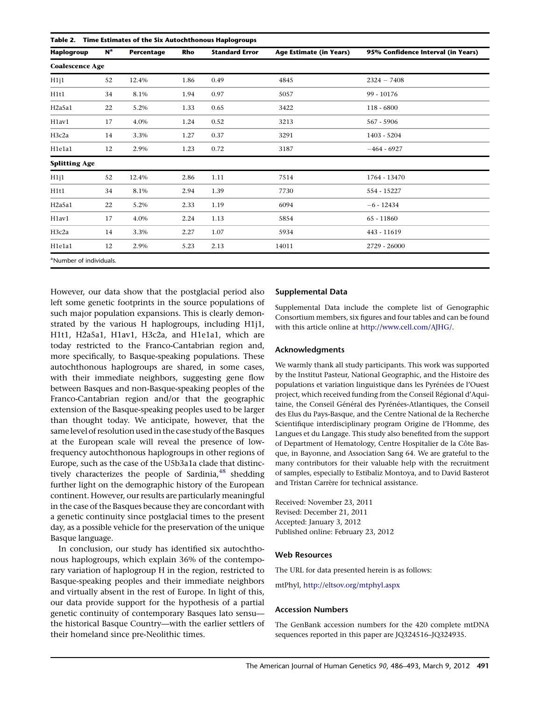<span id="page-5-0"></span>Table 2. Time Estimates of the Six Autochthonous Haplogroups

| <b>Haplogroup</b>                   | N <sup>a</sup> | Percentage | Rho  | <b>Standard Error</b> | <b>Age Estimate (in Years)</b> | 95% Confidence Interval (in Years) |  |  |  |  |  |
|-------------------------------------|----------------|------------|------|-----------------------|--------------------------------|------------------------------------|--|--|--|--|--|
| <b>Coalescence Age</b>              |                |            |      |                       |                                |                                    |  |  |  |  |  |
| H1j1                                | 52             | 12.4%      | 1.86 | 0.49                  | 4845                           | $2324 - 7408$                      |  |  |  |  |  |
| H1t1                                | 34             | 8.1%       | 1.94 | 0.97                  | 5057                           | 99 - 10176                         |  |  |  |  |  |
| H <sub>2a5a1</sub>                  | 22             | 5.2%       | 1.33 | 0.65                  | 3422                           | $118 - 6800$                       |  |  |  |  |  |
| H1av1                               | 17             | 4.0%       | 1.24 | 0.52                  | 3213                           | 567 - 5906                         |  |  |  |  |  |
| H <sub>3</sub> c <sub>2a</sub>      | 14             | 3.3%       | 1.27 | 0.37                  | 3291                           | 1403 - 5204                        |  |  |  |  |  |
| H1e1a1                              | 12             | 2.9%       | 1.23 | 0.72                  | 3187                           | $-464 - 6927$                      |  |  |  |  |  |
| <b>Splitting Age</b>                |                |            |      |                       |                                |                                    |  |  |  |  |  |
| H1j1                                | 52             | 12.4%      | 2.86 | 1.11                  | 7514                           | 1764 - 13470                       |  |  |  |  |  |
| H1t1                                | 34             | 8.1%       | 2.94 | 1.39                  | 7730                           | 554 - 15227                        |  |  |  |  |  |
| H <sub>2</sub> a5a1                 | 22             | 5.2%       | 2.33 | 1.19                  | 6094                           | $-6 - 12434$                       |  |  |  |  |  |
| H1av1                               | 17             | 4.0%       | 2.24 | 1.13                  | 5854                           | 65 - 11860                         |  |  |  |  |  |
| H <sub>3</sub> c <sub>2a</sub>      | 14             | 3.3%       | 2.27 | 1.07                  | 5934                           | 443 - 11619                        |  |  |  |  |  |
| H1e1a1                              | 12             | 2.9%       | 5.23 | 2.13                  | 14011                          | 2729 - 26000                       |  |  |  |  |  |
| <sup>a</sup> Number of individuals. |                |            |      |                       |                                |                                    |  |  |  |  |  |

However, our data show that the postglacial period also left some genetic footprints in the source populations of such major population expansions. This is clearly demonstrated by the various H haplogroups, including H1j1, H1t1, H2a5a1, H1av1, H3c2a, and H1e1a1, which are today restricted to the Franco-Cantabrian region and, more specifically, to Basque-speaking populations. These autochthonous haplogroups are shared, in some cases, with their immediate neighbors, suggesting gene flow between Basques and non-Basque-speaking peoples of the Franco-Cantabrian region and/or that the geographic extension of the Basque-speaking peoples used to be larger than thought today. We anticipate, however, that the same level of resolution used in the case study of the Basques at the European scale will reveal the presence of lowfrequency autochthonous haplogroups in other regions of Europe, such as the case of the U5b3a1a clade that distinc-tively characterizes the people of Sardinia,<sup>[48](#page-7-0)</sup> shedding further light on the demographic history of the European continent. However, our results are particularly meaningful in the case of the Basques because they are concordant with a genetic continuity since postglacial times to the present day, as a possible vehicle for the preservation of the unique Basque language.

In conclusion, our study has identified six autochthonous haplogroups, which explain 36% of the contemporary variation of haplogroup H in the region, restricted to Basque-speaking peoples and their immediate neighbors and virtually absent in the rest of Europe. In light of this, our data provide support for the hypothesis of a partial genetic continuity of contemporary Basques lato sensu the historical Basque Country—with the earlier settlers of their homeland since pre-Neolithic times.

## Supplemental Data

Supplemental Data include the complete list of Genographic Consortium members, six figures and four tables and can be found with this article online at <http://www.cell.com/AJHG/>.

### Acknowledgments

We warmly thank all study participants. This work was supported by the Institut Pasteur, National Geographic, and the Histoire des populations et variation linguistique dans les Pyrénées de l'Ouest project, which received funding from the Conseil Régional d'Aquitaine, the Conseil Général des Pyrénées-Atlantiques, the Conseil des Elus du Pays-Basque, and the Centre National de la Recherche Scientifique interdisciplinary program Origine de l'Homme, des Langues et du Langage. This study also benefited from the support of Department of Hematology, Centre Hospitalier de la Côte Basque, in Bayonne, and Association Sang 64. We are grateful to the many contributors for their valuable help with the recruitment of samples, especially to Estibaliz Montoya, and to David Basterot and Tristan Carrère for technical assistance.

Received: November 23, 2011 Revised: December 21, 2011 Accepted: January 3, 2012 Published online: February 23, 2012

### Web Resources

The URL for data presented herein is as follows:

mtPhyl, <http://eltsov.org/mtphyl.aspx>

#### Accession Numbers

The GenBank accession numbers for the 420 complete mtDNA sequences reported in this paper are JQ324516–JQ324935.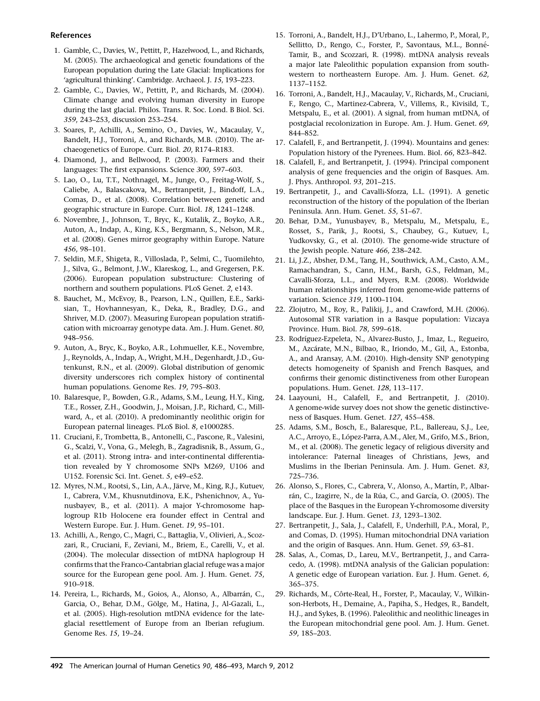## <span id="page-6-0"></span>References

- 1. Gamble, C., Davies, W., Pettitt, P., Hazelwood, L., and Richards, M. (2005). The archaeological and genetic foundations of the European population during the Late Glacial: Implications for 'agricultural thinking'. Cambridge. Archaeol. J. 15, 193–223.
- 2. Gamble, C., Davies, W., Pettitt, P., and Richards, M. (2004). Climate change and evolving human diversity in Europe during the last glacial. Philos. Trans. R. Soc. Lond. B Biol. Sci. 359, 243–253, discussion 253–254.
- 3. Soares, P., Achilli, A., Semino, O., Davies, W., Macaulay, V., Bandelt, H.J., Torroni, A., and Richards, M.B. (2010). The archaeogenetics of Europe. Curr. Biol. 20, R174–R183.
- 4. Diamond, J., and Bellwood, P. (2003). Farmers and their languages: The first expansions. Science 300, 597–603.
- 5. Lao, O., Lu, T.T., Nothnagel, M., Junge, O., Freitag-Wolf, S., Caliebe, A., Balascakova, M., Bertranpetit, J., Bindoff, L.A., Comas, D., et al. (2008). Correlation between genetic and geographic structure in Europe. Curr. Biol. 18, 1241–1248.
- 6. Novembre, J., Johnson, T., Bryc, K., Kutalik, Z., Boyko, A.R., Auton, A., Indap, A., King, K.S., Bergmann, S., Nelson, M.R., et al. (2008). Genes mirror geography within Europe. Nature 456, 98–101.
- 7. Seldin, M.F., Shigeta, R., Villoslada, P., Selmi, C., Tuomilehto, J., Silva, G., Belmont, J.W., Klareskog, L., and Gregersen, P.K. (2006). European population substructure: Clustering of northern and southern populations. PLoS Genet. 2, e143.
- 8. Bauchet, M., McEvoy, B., Pearson, L.N., Quillen, E.E., Sarkisian, T., Hovhannesyan, K., Deka, R., Bradley, D.G., and Shriver, M.D. (2007). Measuring European population stratification with microarray genotype data. Am. J. Hum. Genet. 80, 948–956.
- 9. Auton, A., Bryc, K., Boyko, A.R., Lohmueller, K.E., Novembre, J., Reynolds, A., Indap, A., Wright, M.H., Degenhardt, J.D., Gutenkunst, R.N., et al. (2009). Global distribution of genomic diversity underscores rich complex history of continental human populations. Genome Res. 19, 795–803.
- 10. Balaresque, P., Bowden, G.R., Adams, S.M., Leung, H.Y., King, T.E., Rosser, Z.H., Goodwin, J., Moisan, J.P., Richard, C., Millward, A., et al. (2010). A predominantly neolithic origin for European paternal lineages. PLoS Biol. 8, e1000285.
- 11. Cruciani, F., Trombetta, B., Antonelli, C., Pascone, R., Valesini, G., Scalzi, V., Vona, G., Melegh, B., Zagradisnik, B., Assum, G., et al. (2011). Strong intra- and inter-continental differentiation revealed by Y chromosome SNPs M269, U106 and U152. Forensic Sci. Int. Genet. 5, e49–e52.
- 12. Myres, N.M., Rootsi, S., Lin, A.A., Järve, M., King, R.J., Kutuev, I., Cabrera, V.M., Khusnutdinova, E.K., Pshenichnov, A., Yunusbayev, B., et al. (2011). A major Y-chromosome haplogroup R1b Holocene era founder effect in Central and Western Europe. Eur. J. Hum. Genet. 19, 95–101.
- 13. Achilli, A., Rengo, C., Magri, C., Battaglia, V., Olivieri, A., Scozzari, R., Cruciani, F., Zeviani, M., Briem, E., Carelli, V., et al. (2004). The molecular dissection of mtDNA haplogroup H confirms that the Franco-Cantabrian glacial refuge was a major source for the European gene pool. Am. J. Hum. Genet. 75, 910–918.
- 14. Pereira, L., Richards, M., Goios, A., Alonso, A., Albarrán, C., Garcia, O., Behar, D.M., Gölge, M., Hatina, J., Al-Gazali, L., et al. (2005). High-resolution mtDNA evidence for the lateglacial resettlement of Europe from an Iberian refugium. Genome Res. 15, 19–24.
- 15. Torroni, A., Bandelt, H.J., D'Urbano, L., Lahermo, P., Moral, P., Sellitto, D., Rengo, C., Forster, P., Savontaus, M.L., Bonné-Tamir, B., and Scozzari, R. (1998). mtDNA analysis reveals a major late Paleolithic population expansion from southwestern to northeastern Europe. Am. J. Hum. Genet. 62, 1137–1152.
- 16. Torroni, A., Bandelt, H.J., Macaulay, V., Richards, M., Cruciani, F., Rengo, C., Martinez-Cabrera, V., Villems, R., Kivisild, T., Metspalu, E., et al. (2001). A signal, from human mtDNA, of postglacial recolonization in Europe. Am. J. Hum. Genet. 69, 844–852.
- 17. Calafell, F., and Bertranpetit, J. (1994). Mountains and genes: Population history of the Pyrenees. Hum. Biol. 66, 823–842.
- 18. Calafell, F., and Bertranpetit, J. (1994). Principal component analysis of gene frequencies and the origin of Basques. Am. J. Phys. Anthropol. 93, 201–215.
- 19. Bertranpetit, J., and Cavalli-Sforza, L.L. (1991). A genetic reconstruction of the history of the population of the Iberian Peninsula. Ann. Hum. Genet. 55, 51–67.
- 20. Behar, D.M., Yunusbayev, B., Metspalu, M., Metspalu, E., Rosset, S., Parik, J., Rootsi, S., Chaubey, G., Kutuev, I., Yudkovsky, G., et al. (2010). The genome-wide structure of the Jewish people. Nature 466, 238–242.
- 21. Li, J.Z., Absher, D.M., Tang, H., Southwick, A.M., Casto, A.M., Ramachandran, S., Cann, H.M., Barsh, G.S., Feldman, M., Cavalli-Sforza, L.L., and Myers, R.M. (2008). Worldwide human relationships inferred from genome-wide patterns of variation. Science 319, 1100–1104.
- 22. Zlojutro, M., Roy, R., Palikij, J., and Crawford, M.H. (2006). Autosomal STR variation in a Basque population: Vizcaya Province. Hum. Biol. 78, 599–618.
- 23. Rodríguez-Ezpeleta, N., Alvarez-Busto, J., Imaz, L., Regueiro, M., Azcárate, M.N., Bilbao, R., Iriondo, M., Gil, A., Estonba, A., and Aransay, A.M. (2010). High-density SNP genotyping detects homogeneity of Spanish and French Basques, and confirms their genomic distinctiveness from other European populations. Hum. Genet. 128, 113–117.
- 24. Laayouni, H., Calafell, F., and Bertranpetit, J. (2010). A genome-wide survey does not show the genetic distinctiveness of Basques. Hum. Genet. 127, 455–458.
- 25. Adams, S.M., Bosch, E., Balaresque, P.L., Ballereau, S.J., Lee, A.C., Arroyo, E., López-Parra, A.M., Aler, M., Grifo, M.S., Brion, M., et al. (2008). The genetic legacy of religious diversity and intolerance: Paternal lineages of Christians, Jews, and Muslims in the Iberian Peninsula. Am. J. Hum. Genet. 83, 725–736.
- 26. Alonso, S., Flores, C., Cabrera, V., Alonso, A., Martín, P., Albarrán, C., Izagirre, N., de la Rúa, C., and García, O. (2005). The place of the Basques in the European Y-chromosome diversity landscape. Eur. J. Hum. Genet. 13, 1293–1302.
- 27. Bertranpetit, J., Sala, J., Calafell, F., Underhill, P.A., Moral, P., and Comas, D. (1995). Human mitochondrial DNA variation and the origin of Basques. Ann. Hum. Genet. 59, 63–81.
- 28. Salas, A., Comas, D., Lareu, M.V., Bertranpetit, J., and Carracedo, A. (1998). mtDNA analysis of the Galician population: A genetic edge of European variation. Eur. J. Hum. Genet. 6, 365–375.
- 29. Richards, M., Côrte-Real, H., Forster, P., Macaulay, V., Wilkinson-Herbots, H., Demaine, A., Papiha, S., Hedges, R., Bandelt, H.J., and Sykes, B. (1996). Paleolithic and neolithic lineages in the European mitochondrial gene pool. Am. J. Hum. Genet. 59, 185–203.